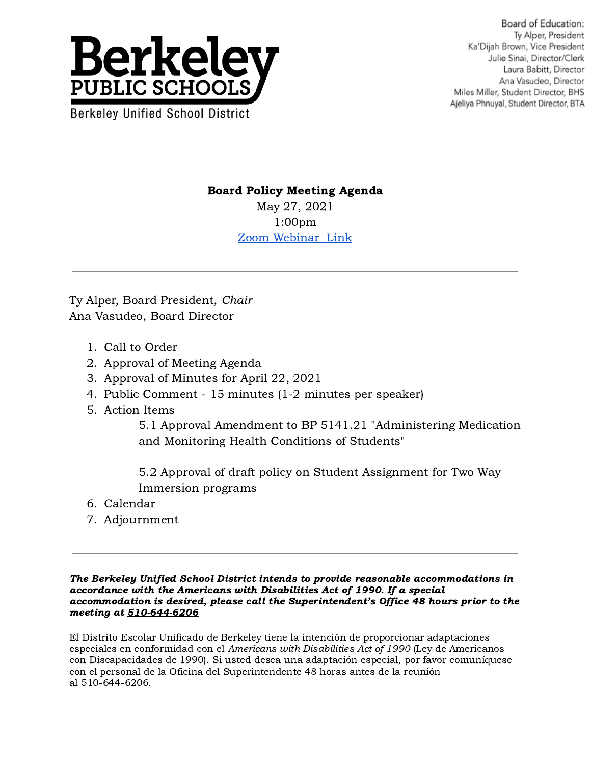

Board of Education: Tv Alper, President Ka'Dijah Brown, Vice President Julie Sinai, Director/Clerk Laura Babitt, Director Ana Vasudeo, Director Miles Miller, Student Director, BHS Ajeliya Phnuyal, Student Director, BTA

## Board Policy Meeting Agenda

May 27, 2021 1:00pm [Zoom Webinar Link](https://berkeley-net.zoom.us/j/89647406968?pwd=Um5DWHJMQnk2ZjZObWJlYTV3cTUzZz09)

Ty Alper, Board President, Chair Ana Vasudeo, Board Director

- 1. Call to Order
- 2. Approval of Meeting Agenda
- 3. Approval of Minutes for April 22, 2021
- 4. Public Comment 15 minutes (1-2 minutes per speaker)
- 5. Action Items

5.1 Approval Amendment to BP 5141.21 "Administering Medication and Monitoring Health Conditions of Students"

5.2 Approval of draft policy on Student Assignment for Two Way Immersion programs

- 6. Calendar
- 7. Adjournment

The Berkeley Unified School District intends to provide reasonable accommodations in accordance with the Americans with Disabilities Act of 1990. If a special accommodation is desired, please call the Superintendent's Office 48 hours prior to the meeting at 510-644-6206

El Distrito Escolar Unificado de Berkeley tiene la intención de proporcionar adaptaciones especiales en conformidad con el Americans with Disabilities Act of 1990 (Ley de Americanos con Discapacidades de 1990). Si usted desea una adaptación especial, por favor comuníquese con el personal de la Oficina del Superintendente 48 horas antes de la reunión al 510-644-6206.